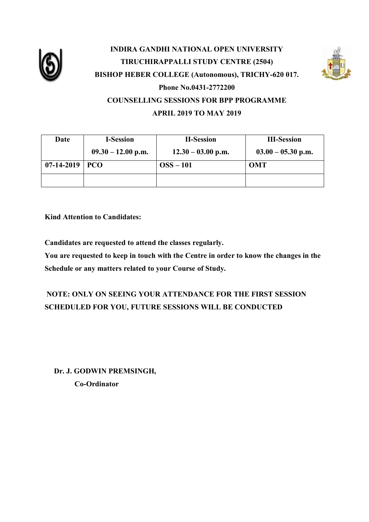

# **INDIRA GANDHI NATIONAL OPEN UNIVERSITY TIRUCHIRAPPALLI STUDY CENTRE (2504) BISHOP HEBER COLLEGE (Autonomous), TRICHY-620 017. Phone No.0431-2772200 COUNSELLING SESSIONS FOR BPP PROGRAMME APRIL 2019 TO MAY 2019**



**Kind Attention to Candidates:**

**Candidates are requested to attend the classes regularly.**

**You are requested to keep in touch with the Centre in order to know the changes in the Schedule or any matters related to your Course of Study.**

## **NOTE: ONLY ON SEEING YOUR ATTENDANCE FOR THE FIRST SESSION SCHEDULED FOR YOU, FUTURE SESSIONS WILL BE CONDUCTED**

 **Dr. J. GODWIN PREMSINGH, Co-Ordinator**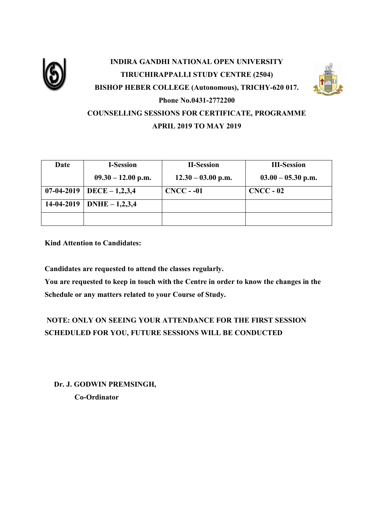

# **INDIRA GANDHI NATIONAL OPEN UNIVERSITY TIRUCHIRAPPALLI STUDY CENTRE (2504) BISHOP HEBER COLLEGE (Autonomous), TRICHY-620 017. Phone No.0431-2772200 COUNSELLING SESSIONS FOR CERTIFICATE, PROGRAMME APRIL 2019 TO MAY 2019**

| Date         | <b>I-Session</b>       | <b>II-Session</b>    | <b>III-Session</b>   |
|--------------|------------------------|----------------------|----------------------|
|              | $09.30 - 12.00$ p.m.   | $12.30 - 03.00$ p.m. | $03.00 - 05.30$ p.m. |
| $07-04-2019$ | $\vert$ DECE – 1,2,3,4 | $CNCC - -01$         | $CNCC - 02$          |
| 14-04-2019   | DNHE $- 1, 2, 3, 4$    |                      |                      |
|              |                        |                      |                      |

**Kind Attention to Candidates:**

**Candidates are requested to attend the classes regularly.**

**You are requested to keep in touch with the Centre in order to know the changes in the Schedule or any matters related to your Course of Study.**

## **NOTE: ONLY ON SEEING YOUR ATTENDANCE FOR THE FIRST SESSION SCHEDULED FOR YOU, FUTURE SESSIONS WILL BE CONDUCTED**

 **Dr. J. GODWIN PREMSINGH, Co-Ordinator**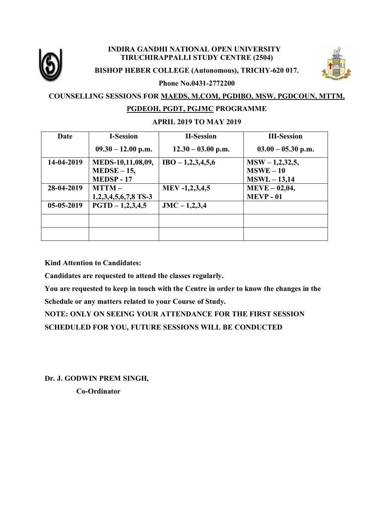

#### **INDIRA GANDHI NATIONAL OPEN UNIVERSITY TIRUCHIRAPPALLI STUDY CENTRE (2504)**





#### **Phone No.0431-2772200**

### **COUNSELLING SESSIONS FOR MAEDS, M.COM, PGDIBO, MSW, PGDCOUN, MTTM, PGDEOH, PGDT, PGJMC PROGRAMME**

#### **APRIL 2019 TO MAY 2019**

| Date       | <b>I-Session</b>       | <b>II-Session</b>    | <b>III-Session</b>   |
|------------|------------------------|----------------------|----------------------|
|            | $09.30 - 12.00$ p.m.   | $12.30 - 03.00$ p.m. | $03.00 - 05.30$ p.m. |
| 14-04-2019 | MEDS-10,11,08,09,      | $IBO - 1,2,3,4,5,6$  | $MSW - 1,2,32,5,$    |
|            | $MEDSE-15$ ,           |                      | $MSWE-10$            |
|            | <b>MEDSP-17</b>        |                      | $MSWL - 13,14$       |
| 28-04-2019 | $MTTM -$               | MEV-1,2,3,4,5        | $MEVE - 02,04,$      |
|            | $1,2,3,4,5,6,7,8$ TS-3 |                      | <b>MEVP - 01</b>     |
| 05-05-2019 | $PGTD - 1,2,3,4,5$     | $JMC - 1,2,3,4$      |                      |
|            |                        |                      |                      |
|            |                        |                      |                      |

**Kind Attention to Candidates:**

**Candidates are requested to attend the classes regularly.**

**You are requested to keep in touch with the Centre in order to know the changes in the Schedule or any matters related to your Course of Study.**

**NOTE: ONLY ON SEEING YOUR ATTENDANCE FOR THE FIRST SESSION SCHEDULED FOR YOU, FUTURE SESSIONS WILL BE CONDUCTED**

**Dr. J. GODWIN PREM SINGH, Co-Ordinator**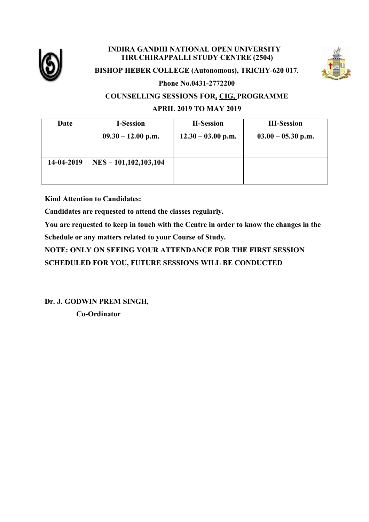

#### **INDIRA GANDHI NATIONAL OPEN UNIVERSITY TIRUCHIRAPPALLI STUDY CENTRE (2504)**



#### **BISHOP HEBER COLLEGE (Autonomous), TRICHY-620 017.**

**Phone No.0431-2772200**

#### **COUNSELLING SESSIONS FOR, CIG, PROGRAMME**

#### **APRIL 2019 TO MAY 2019**

| Date       | <b>I-Session</b>           | <b>II-Session</b>    | <b>III-Session</b>   |
|------------|----------------------------|----------------------|----------------------|
|            | $09.30 - 12.00$ p.m.       | $12.30 - 03.00$ p.m. | $03.00 - 05.30$ p.m. |
|            |                            |                      |                      |
| 14-04-2019 | $NES - 101, 102, 103, 104$ |                      |                      |
|            |                            |                      |                      |

**Kind Attention to Candidates:**

**Candidates are requested to attend the classes regularly.**

**You are requested to keep in touch with the Centre in order to know the changes in the Schedule or any matters related to your Course of Study.**

**NOTE: ONLY ON SEEING YOUR ATTENDANCE FOR THE FIRST SESSION SCHEDULED FOR YOU, FUTURE SESSIONS WILL BE CONDUCTED**

**Dr. J. GODWIN PREM SINGH, Co-Ordinator**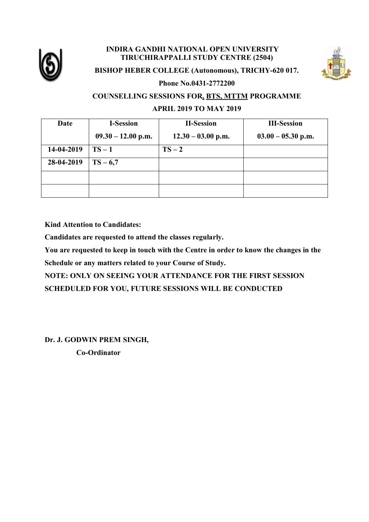

#### **INDIRA GANDHI NATIONAL OPEN UNIVERSITY TIRUCHIRAPPALLI STUDY CENTRE (2504)**



#### **BISHOP HEBER COLLEGE (Autonomous), TRICHY-620 017.**

**Phone No.0431-2772200**

### **COUNSELLING SESSIONS FOR, BTS, MTTM PROGRAMME**

#### **APRIL 2019 TO MAY 2019**

| Date       | <b>I-Session</b>     | <b>II-Session</b>    | <b>III-Session</b>   |
|------------|----------------------|----------------------|----------------------|
|            | $09.30 - 12.00$ p.m. | $12.30 - 03.00$ p.m. | $03.00 - 05.30$ p.m. |
| 14-04-2019 | $TS-1$               | $TS-2$               |                      |
| 28-04-2019 | $TS - 6,7$           |                      |                      |
|            |                      |                      |                      |
|            |                      |                      |                      |

**Kind Attention to Candidates:**

**Candidates are requested to attend the classes regularly.**

**You are requested to keep in touch with the Centre in order to know the changes in the Schedule or any matters related to your Course of Study.**

**NOTE: ONLY ON SEEING YOUR ATTENDANCE FOR THE FIRST SESSION SCHEDULED FOR YOU, FUTURE SESSIONS WILL BE CONDUCTED**

**Dr. J. GODWIN PREM SINGH,** 

 **Co-Ordinator**